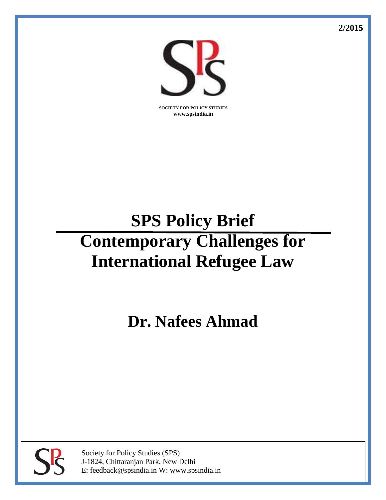**2/2015**



**SOCIETY FOR POLICY STUDIES www.spsindia.in**

# **SPS Policy Brief Contemporary Challenges for International Refugee Law**

**Dr. Nafees Ahmad**



Society for Policy Studies (SPS) J-1824, Chittaranjan Park, New Delhi E: feedback@spsindia.in W: www.spsindia.in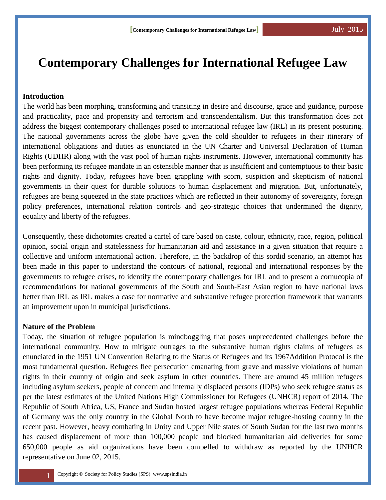## **Contemporary Challenges for International Refugee Law**

#### **Introduction**

The world has been morphing, transforming and transiting in desire and discourse, grace and guidance, purpose and practicality, pace and propensity and terrorism and transcendentalism. But this transformation does not address the biggest contemporary challenges posed to international refugee law (IRL) in its present posturing. The national governments across the globe have given the cold shoulder to refugees in their itinerary of international obligations and duties as enunciated in the UN Charter and Universal Declaration of Human Rights (UDHR) along with the vast pool of human rights instruments. However, international community has been performing its refugee mandate in an ostensible manner that is insufficient and contemptuous to their basic rights and dignity. Today, refugees have been grappling with scorn, suspicion and skepticism of national governments in their quest for durable solutions to human displacement and migration. But, unfortunately, refugees are being squeezed in the state practices which are reflected in their autonomy of sovereignty, foreign policy preferences, international relation controls and geo-strategic choices that undermined the dignity, equality and liberty of the refugees.

Consequently, these dichotomies created a cartel of care based on caste, colour, ethnicity, race, region, political opinion, social origin and statelessness for humanitarian aid and assistance in a given situation that require a collective and uniform international action. Therefore, in the backdrop of this sordid scenario, an attempt has been made in this paper to understand the contours of national, regional and international responses by the governments to refugee crises, to identify the contemporary challenges for IRL and to present a cornucopia of recommendations for national governments of the South and South-East Asian region to have national laws better than IRL as IRL makes a case for normative and substantive refugee protection framework that warrants an improvement upon in municipal jurisdictions.

#### **Nature of the Problem**

Today, the situation of refugee population is mindboggling that poses unprecedented challenges before the international community. How to mitigate outrages to the substantive human rights claims of refugees as enunciated in the 1951 UN Convention Relating to the Status of Refugees and its 1967Addition Protocol is the most fundamental question. Refugees flee persecution emanating from grave and massive violations of human rights in their country of origin and seek asylum in other countries. There are around 45 million refugees including asylum seekers, people of concern and internally displaced persons (IDPs) who seek refugee status as per the latest estimates of the United Nations High Commissioner for Refugees (UNHCR) report of 2014. The Republic of South Africa, US, France and Sudan hosted largest refugee populations whereas Federal Republic of Germany was the only country in the Global North to have become major refugee-hosting country in the recent past. However, heavy combating in Unity and Upper Nile states of South Sudan for the last two months has caused displacement of more than 100,000 people and blocked humanitarian aid deliveries for some 650,000 people as aid organizations have been compelled to withdraw as reported by the UNHCR representative on June 02, 2015.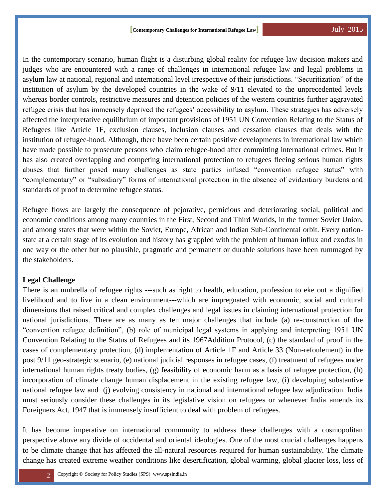In the contemporary scenario, human flight is a disturbing global reality for refugee law decision makers and judges who are encountered with a range of challenges in international refugee law and legal problems in asylum law at national, regional and international level irrespective of their jurisdictions. "Securitization" of the institution of asylum by the developed countries in the wake of 9/11 elevated to the unprecedented levels whereas border controls, restrictive measures and detention policies of the western countries further aggravated refugee crisis that has immensely deprived the refugees' accessibility to asylum. These strategies has adversely affected the interpretative equilibrium of important provisions of 1951 UN Convention Relating to the Status of Refugees like Article 1F, exclusion clauses, inclusion clauses and cessation clauses that deals with the institution of refugee-hood. Although, there have been certain positive developments in international law which have made possible to prosecute persons who claim refugee-hood after committing international crimes. But it has also created overlapping and competing international protection to refugees fleeing serious human rights abuses that further posed many challenges as state parties infused "convention refugee status" with "complementary" or "subsidiary" forms of international protection in the absence of evidentiary burdens and standards of proof to determine refugee status.

Refugee flows are largely the consequence of pejorative, pernicious and deteriorating social, political and economic conditions among many countries in the First, Second and Third Worlds, in the former Soviet Union, and among states that were within the Soviet, Europe, African and Indian Sub-Continental orbit. Every nationstate at a certain stage of its evolution and history has grappled with the problem of human influx and exodus in one way or the other but no plausible, pragmatic and permanent or durable solutions have been rummaged by the stakeholders.

#### **Legal Challenge**

There is an umbrella of refugee rights ---such as right to health, education, profession to eke out a dignified livelihood and to live in a clean environment---which are impregnated with economic, social and cultural dimensions that raised critical and complex challenges and legal issues in claiming international protection for national jurisdictions. There are as many as ten major challenges that include (a) re-construction of the "convention refugee definition", (b) role of municipal legal systems in applying and interpreting 1951 UN Convention Relating to the Status of Refugees and its 1967Addition Protocol, (c) the standard of proof in the cases of complementary protection, (d) implementation of Article 1F and Article 33 (Non-refoulement) in the post 9/11 geo-strategic scenario, (e) national judicial responses in refugee cases, (f) treatment of refugees under international human rights treaty bodies, (g) feasibility of economic harm as a basis of refugee protection, (h) incorporation of climate change human displacement in the existing refugee law, (i) developing substantive national refugee law and (j) evolving consistency in national and international refugee law adjudication. India must seriously consider these challenges in its legislative vision on refugees or whenever India amends its Foreigners Act, 1947 that is immensely insufficient to deal with problem of refugees.

It has become imperative on international community to address these challenges with a cosmopolitan perspective above any divide of occidental and oriental ideologies. One of the most crucial challenges happens to be climate change that has affected the all-natural resources required for human sustainability. The climate change has created extreme weather conditions like desertification, global warming, global glacier loss, loss of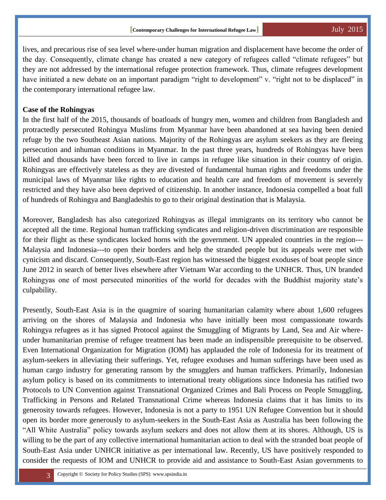lives, and precarious rise of sea level where-under human migration and displacement have become the order of the day. Consequently, climate change has created a new category of refugees called "climate refugees" but they are not addressed by the international refugee protection framework. Thus, climate refugees development have initiated a new debate on an important paradigm "right to development" v. "right not to be displaced" in the contemporary international refugee law.

#### **Case of the Rohingyas**

In the first half of the 2015, thousands of boatloads of hungry men, women and children from Bangladesh and protractedly persecuted Rohingya Muslims from Myanmar have been abandoned at sea having been denied refuge by the two Southeast Asian nations. Majority of the Rohingyas are asylum seekers as they are fleeing persecution and inhuman conditions in Myanmar. In the past three years, hundreds of Rohingyas have been killed and thousands have been forced to live in camps in refugee like situation in their country of origin. Rohingyas are effectively stateless as they are divested of fundamental human rights and freedoms under the municipal laws of Myanmar like rights to education and health care and freedom of movement is severely restricted and they have also been deprived of citizenship. In another instance, Indonesia compelled a boat full of hundreds of Rohingya and Bangladeshis to go to their original destination that is Malaysia.

Moreover, Bangladesh has also categorized Rohingyas as illegal immigrants on its territory who cannot be accepted all the time. Regional human trafficking syndicates and religion-driven discrimination are responsible for their flight as these syndicates locked horns with the government. UN appealed countries in the region--- Malaysia and Indonesia---to open their borders and help the stranded people but its appeals were met with cynicism and discard. Consequently, South-East region has witnessed the biggest exoduses of boat people since June 2012 in search of better lives elsewhere after Vietnam War according to the UNHCR. Thus, UN branded Rohingyas one of most persecuted minorities of the world for decades with the Buddhist majority state's culpability.

Presently, South-East Asia is in the quagmire of soaring humanitarian calamity where about 1,600 refugees arriving on the shores of Malaysia and Indonesia who have initially been most compassionate towards Rohingya refugees as it has signed Protocol against the Smuggling of Migrants by Land, Sea and Air whereunder humanitarian premise of refugee treatment has been made an indispensible prerequisite to be observed. Even International Organization for Migration (IOM) has applauded the role of Indonesia for its treatment of asylum-seekers in alleviating their sufferings. Yet, refugee exoduses and human sufferings have been used as human cargo industry for generating ransom by the smugglers and human traffickers. Primarily, Indonesian asylum policy is based on its commitments to international treaty obligations since Indonesia has ratified two Protocols to UN Convention against Transnational Organized Crimes and Bali Process on People Smuggling, Trafficking in Persons and Related Transnational Crime whereas Indonesia claims that it has limits to its generosity towards refugees. However, Indonesia is not a party to 1951 UN Refugee Convention but it should open its border more generously to asylum-seekers in the South-East Asia as Australia has been following the "All White Australia" policy towards asylum seekers and does not allow them at its shores. Although, US is willing to be the part of any collective international humanitarian action to deal with the stranded boat people of South-East Asia under UNHCR initiative as per international law. Recently, US have positively responded to consider the requests of IOM and UNHCR to provide aid and assistance to South-East Asian governments to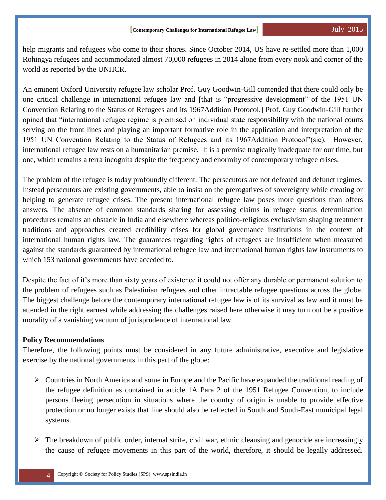help migrants and refugees who come to their shores. Since October 2014, US have re-settled more than 1,000 Rohingya refugees and accommodated almost 70,000 refugees in 2014 alone from every nook and corner of the world as reported by the UNHCR.

An eminent Oxford University refugee law scholar Prof. Guy Goodwin-Gill contended that there could only be one critical challenge in international refugee law and [that is "progressive development" of the 1951 UN Convention Relating to the Status of Refugees and its 1967Addition Protocol.] Prof. Guy Goodwin-Gill further opined that "international refugee regime is premised on individual state responsibility with the national courts serving on the front lines and playing an important formative role in the application and interpretation of the 1951 UN Convention Relating to the Status of Refugees and its 1967Addition Protocol"(sic). However, international refugee law rests on a humanitarian premise. It is a premise tragically inadequate for our time, but one, which remains a terra incognita despite the frequency and enormity of contemporary refugee crises.

The problem of the refugee is today profoundly different. The persecutors are not defeated and defunct regimes. Instead persecutors are existing governments, able to insist on the prerogatives of sovereignty while creating or helping to generate refugee crises. The present international refugee law poses more questions than offers answers. The absence of common standards sharing for assessing claims in refugee status determination procedures remains an obstacle in India and elsewhere whereas politico-religious exclusivism shaping treatment traditions and approaches created credibility crises for global governance institutions in the context of international human rights law. The guarantees regarding rights of refugees are insufficient when measured against the standards guaranteed by international refugee law and international human rights law instruments to which 153 national governments have acceded to.

Despite the fact of it's more than sixty years of existence it could not offer any durable or permanent solution to the problem of refugees such as Palestinian refugees and other intractable refugee questions across the globe. The biggest challenge before the contemporary international refugee law is of its survival as law and it must be attended in the right earnest while addressing the challenges raised here otherwise it may turn out be a positive morality of a vanishing vacuum of jurisprudence of international law.

#### **Policy Recommendations**

Therefore, the following points must be considered in any future administrative, executive and legislative exercise by the national governments in this part of the globe:

- $\triangleright$  Countries in North America and some in Europe and the Pacific have expanded the traditional reading of the refugee definition as contained in article 1A Para 2 of the 1951 Refugee Convention, to include persons fleeing persecution in situations where the country of origin is unable to provide effective protection or no longer exists that line should also be reflected in South and South-East municipal legal systems.
- $\triangleright$  The breakdown of public order, internal strife, civil war, ethnic cleansing and genocide are increasingly the cause of refugee movements in this part of the world, therefore, it should be legally addressed.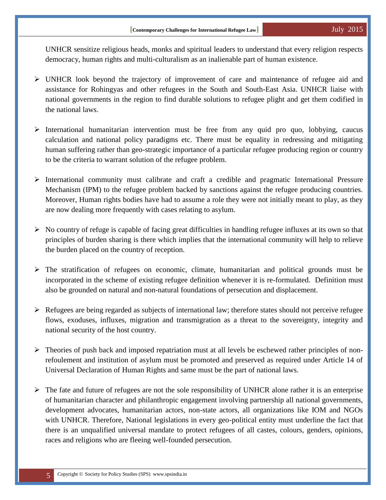UNHCR sensitize religious heads, monks and spiritual leaders to understand that every religion respects democracy, human rights and multi-culturalism as an inalienable part of human existence.

- UNHCR look beyond the trajectory of improvement of care and maintenance of refugee aid and assistance for Rohingyas and other refugees in the South and South-East Asia. UNHCR liaise with national governments in the region to find durable solutions to refugee plight and get them codified in the national laws.
- $\triangleright$  International humanitarian intervention must be free from any quid pro quo, lobbying, caucus calculation and national policy paradigms etc. There must be equality in redressing and mitigating human suffering rather than geo-strategic importance of a particular refugee producing region or country to be the criteria to warrant solution of the refugee problem.
- $\triangleright$  International community must calibrate and craft a credible and pragmatic International Pressure Mechanism (IPM) to the refugee problem backed by sanctions against the refugee producing countries. Moreover, Human rights bodies have had to assume a role they were not initially meant to play, as they are now dealing more frequently with cases relating to asylum.
- $\triangleright$  No country of refuge is capable of facing great difficulties in handling refugee influxes at its own so that principles of burden sharing is there which implies that the international community will help to relieve the burden placed on the country of reception.
- The stratification of refugees on economic, climate, humanitarian and political grounds must be incorporated in the scheme of existing refugee definition whenever it is re-formulated. Definition must also be grounded on natural and non-natural foundations of persecution and displacement.
- $\triangleright$  Refugees are being regarded as subjects of international law; therefore states should not perceive refugee flows, exoduses, influxes, migration and transmigration as a threat to the sovereignty, integrity and national security of the host country.
- $\triangleright$  Theories of push back and imposed repatriation must at all levels be eschewed rather principles of nonrefoulement and institution of asylum must be promoted and preserved as required under Article 14 of Universal Declaration of Human Rights and same must be the part of national laws.
- $\triangleright$  The fate and future of refugees are not the sole responsibility of UNHCR alone rather it is an enterprise of humanitarian character and philanthropic engagement involving partnership all national governments, development advocates, humanitarian actors, non-state actors, all organizations like IOM and NGOs with UNHCR. Therefore, National legislations in every geo-political entity must underline the fact that there is an unqualified universal mandate to protect refugees of all castes, colours, genders, opinions, races and religions who are fleeing well-founded persecution.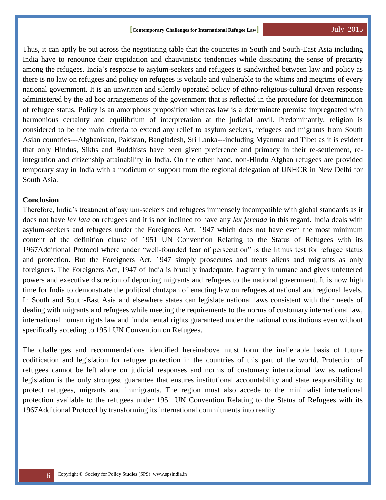Thus, it can aptly be put across the negotiating table that the countries in South and South-East Asia including India have to renounce their trepidation and chauvinistic tendencies while dissipating the sense of precarity among the refugees. India's response to asylum-seekers and refugees is sandwiched between law and policy as there is no law on refugees and policy on refugees is volatile and vulnerable to the whims and megrims of every national government. It is an unwritten and silently operated policy of ethno-religious-cultural driven response administered by the ad hoc arrangements of the government that is reflected in the procedure for determination of refugee status. Policy is an amorphous proposition whereas law is a determinate premise impregnated with harmonious certainty and equilibrium of interpretation at the judicial anvil. Predominantly, religion is considered to be the main criteria to extend any relief to asylum seekers, refugees and migrants from South Asian countries---Afghanistan, Pakistan, Bangladesh, Sri Lanka---including Myanmar and Tibet as it is evident that only Hindus, Sikhs and Buddhists have been given preference and primacy in their re-settlement, reintegration and citizenship attainability in India. On the other hand, non-Hindu Afghan refugees are provided temporary stay in India with a modicum of support from the regional delegation of UNHCR in New Delhi for South Asia.

#### **Conclusion**

Therefore, India's treatment of asylum-seekers and refugees immensely incompatible with global standards as it does not have *lex lata* on refugees and it is not inclined to have any *lex ferenda* in this regard. India deals with asylum-seekers and refugees under the Foreigners Act, 1947 which does not have even the most minimum content of the definition clause of 1951 UN Convention Relating to the Status of Refugees with its 1967Additional Protocol where under "well-founded fear of persecution" is the litmus test for refugee status and protection. But the Foreigners Act, 1947 simply prosecutes and treats aliens and migrants as only foreigners. The Foreigners Act, 1947 of India is brutally inadequate, flagrantly inhumane and gives unfettered powers and executive discretion of deporting migrants and refugees to the national government. It is now high time for India to demonstrate the political chutzpah of enacting law on refugees at national and regional levels. In South and South-East Asia and elsewhere states can legislate national laws consistent with their needs of dealing with migrants and refugees while meeting the requirements to the norms of customary international law, international human rights law and fundamental rights guaranteed under the national constitutions even without specifically acceding to 1951 UN Convention on Refugees.

The challenges and recommendations identified hereinabove must form the inalienable basis of future codification and legislation for refugee protection in the countries of this part of the world. Protection of refugees cannot be left alone on judicial responses and norms of customary international law as national legislation is the only strongest guarantee that ensures institutional accountability and state responsibility to protect refugees, migrants and immigrants. The region must also accede to the minimalist international protection available to the refugees under 1951 UN Convention Relating to the Status of Refugees with its 1967Additional Protocol by transforming its international commitments into reality.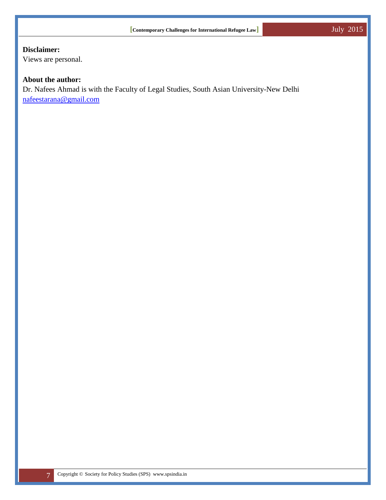### **Disclaimer:**

Views are personal.

#### **About the author:**

Dr. Nafees Ahmad is with the Faculty of Legal Studies, South Asian University-New Delhi [nafeestarana@gmail.com](mailto:nafeestarana@gmail.com)